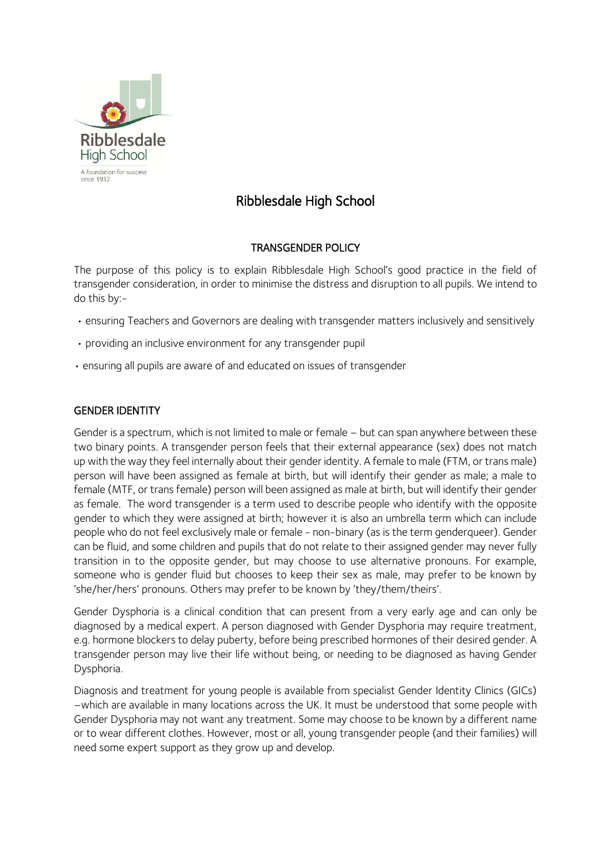

# Ribblesdale High School

# TRANSGENDER POLICY

The purpose of this policy is to explain Ribblesdale High School's good practice in the field of transgender consideration, in order to minimise the distress and disruption to all pupils. We intend to do this by:-

- ensuring Teachers and Governors are dealing with transgender matters inclusively and sensitively
- providing an inclusive environment for any transgender pupil
- ensuring all pupils are aware of and educated on issues of transgender

# GENDER IDENTITY

Gender is a spectrum, which is not limited to male or female – but can span anywhere between these two binary points. A transgender person feels that their external appearance (sex) does not match up with the way they feel internally about their gender identity. A female to male (FTM, or trans male) person will have been assigned as female at birth, but will identify their gender as male; a male to female (MTF, or trans female) person will been assigned as male at birth, but will identify their gender as female. The word transgender is a term used to describe people who identify with the opposite gender to which they were assigned at birth; however it is also an umbrella term which can include people who do not feel exclusively male or female - non-binary (as is the term genderqueer). Gender can be fluid, and some children and pupils that do not relate to their assigned gender may never fully transition in to the opposite gender, but may choose to use alternative pronouns. For example, someone who is gender fluid but chooses to keep their sex as male, may prefer to be known by 'she/her/hers' pronouns. Others may prefer to be known by 'they/them/theirs'.

Gender Dysphoria is a clinical condition that can present from a very early age and can only be diagnosed by a medical expert. A person diagnosed with Gender Dysphoria may require treatment, e.g. hormone blockers to delay puberty, before being prescribed hormones of their desired gender. A transgender person may live their life without being, or needing to be diagnosed as having Gender Dysphoria.

Diagnosis and treatment for young people is available from specialist Gender Identity Clinics (GICs) –which are available in many locations across the UK. It must be understood that some people with Gender Dysphoria may not want any treatment. Some may choose to be known by a different name or to wear different clothes. However, most or all, young transgender people (and their families) will need some expert support as they grow up and develop.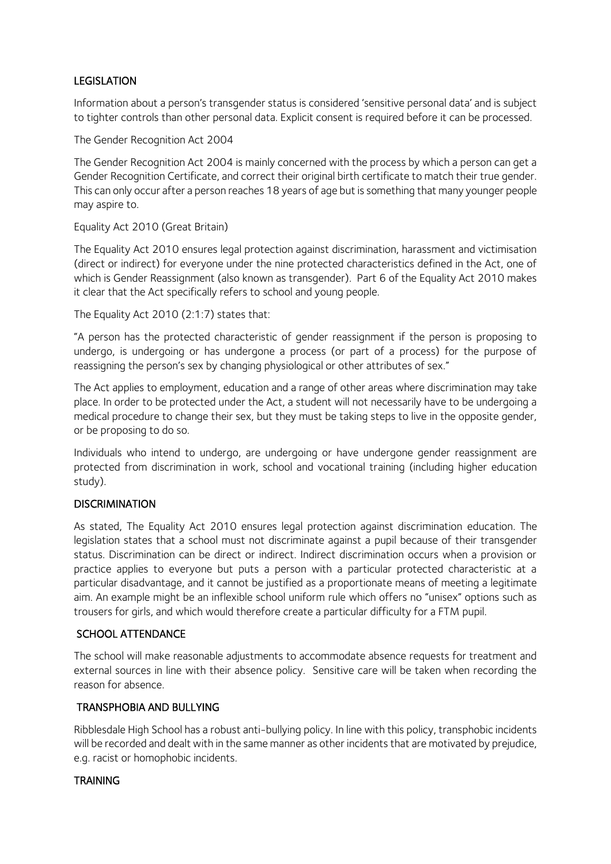## LEGISLATION

Information about a person's transgender status is considered 'sensitive personal data' and is subject to tighter controls than other personal data. Explicit consent is required before it can be processed.

The Gender Recognition Act 2004

The Gender Recognition Act 2004 is mainly concerned with the process by which a person can get a Gender Recognition Certificate, and correct their original birth certificate to match their true gender. This can only occur after a person reaches 18 years of age but is something that many younger people may aspire to.

Equality Act 2010 (Great Britain)

The Equality Act 2010 ensures legal protection against discrimination, harassment and victimisation (direct or indirect) for everyone under the nine protected characteristics defined in the Act, one of which is Gender Reassignment (also known as transgender). Part 6 of the Equality Act 2010 makes it clear that the Act specifically refers to school and young people.

The Equality Act 2010 (2:1:7) states that:

"A person has the protected characteristic of gender reassignment if the person is proposing to undergo, is undergoing or has undergone a process (or part of a process) for the purpose of reassigning the person's sex by changing physiological or other attributes of sex."

The Act applies to employment, education and a range of other areas where discrimination may take place. In order to be protected under the Act, a student will not necessarily have to be undergoing a medical procedure to change their sex, but they must be taking steps to live in the opposite gender, or be proposing to do so.

Individuals who intend to undergo, are undergoing or have undergone gender reassignment are protected from discrimination in work, school and vocational training (including higher education study).

#### **DISCRIMINATION**

As stated, The Equality Act 2010 ensures legal protection against discrimination education. The legislation states that a school must not discriminate against a pupil because of their transgender status. Discrimination can be direct or indirect. Indirect discrimination occurs when a provision or practice applies to everyone but puts a person with a particular protected characteristic at a particular disadvantage, and it cannot be justified as a proportionate means of meeting a legitimate aim. An example might be an inflexible school uniform rule which offers no "unisex" options such as trousers for girls, and which would therefore create a particular difficulty for a FTM pupil.

#### SCHOOL ATTENDANCE

The school will make reasonable adjustments to accommodate absence requests for treatment and external sources in line with their absence policy. Sensitive care will be taken when recording the reason for absence.

#### TRANSPHOBIA AND BULLYING

Ribblesdale High School has a robust anti-bullying policy. In line with this policy, transphobic incidents will be recorded and dealt with in the same manner as other incidents that are motivated by prejudice, e.g. racist or homophobic incidents.

#### **TRAINING**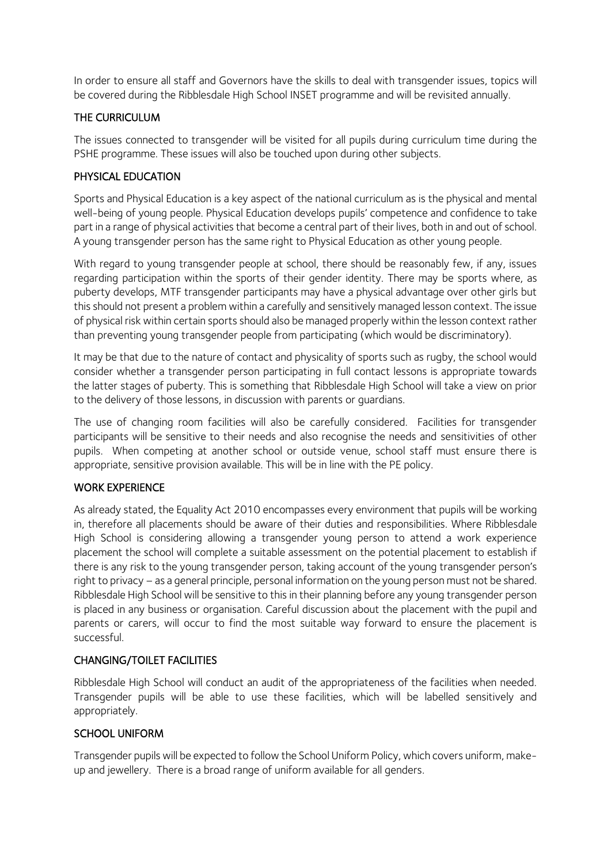In order to ensure all staff and Governors have the skills to deal with transgender issues, topics will be covered during the Ribblesdale High School INSET programme and will be revisited annually.

## THE CURRICULUM

The issues connected to transgender will be visited for all pupils during curriculum time during the PSHE programme. These issues will also be touched upon during other subjects.

## PHYSICAL EDUCATION

Sports and Physical Education is a key aspect of the national curriculum as is the physical and mental well-being of young people. Physical Education develops pupils' competence and confidence to take part in a range of physical activities that become a central part of their lives, both in and out of school. A young transgender person has the same right to Physical Education as other young people.

With regard to young transgender people at school, there should be reasonably few, if any, issues regarding participation within the sports of their gender identity. There may be sports where, as puberty develops, MTF transgender participants may have a physical advantage over other girls but this should not present a problem within a carefully and sensitively managed lesson context. The issue of physical risk within certain sports should also be managed properly within the lesson context rather than preventing young transgender people from participating (which would be discriminatory).

It may be that due to the nature of contact and physicality of sports such as rugby, the school would consider whether a transgender person participating in full contact lessons is appropriate towards the latter stages of puberty. This is something that Ribblesdale High School will take a view on prior to the delivery of those lessons, in discussion with parents or guardians.

The use of changing room facilities will also be carefully considered. Facilities for transgender participants will be sensitive to their needs and also recognise the needs and sensitivities of other pupils. When competing at another school or outside venue, school staff must ensure there is appropriate, sensitive provision available. This will be in line with the PE policy.

#### WORK EXPERIENCE

As already stated, the Equality Act 2010 encompasses every environment that pupils will be working in, therefore all placements should be aware of their duties and responsibilities. Where Ribblesdale High School is considering allowing a transgender young person to attend a work experience placement the school will complete a suitable assessment on the potential placement to establish if there is any risk to the young transgender person, taking account of the young transgender person's right to privacy – as a general principle, personal information on the young person must not be shared. Ribblesdale High School will be sensitive to this in their planning before any young transgender person is placed in any business or organisation. Careful discussion about the placement with the pupil and parents or carers, will occur to find the most suitable way forward to ensure the placement is successful.

#### CHANGING/TOILET FACILITIES

Ribblesdale High School will conduct an audit of the appropriateness of the facilities when needed. Transgender pupils will be able to use these facilities, which will be labelled sensitively and appropriately.

#### SCHOOL UNIFORM

Transgender pupils will be expected to follow the School Uniform Policy, which covers uniform, makeup and jewellery. There is a broad range of uniform available for all genders.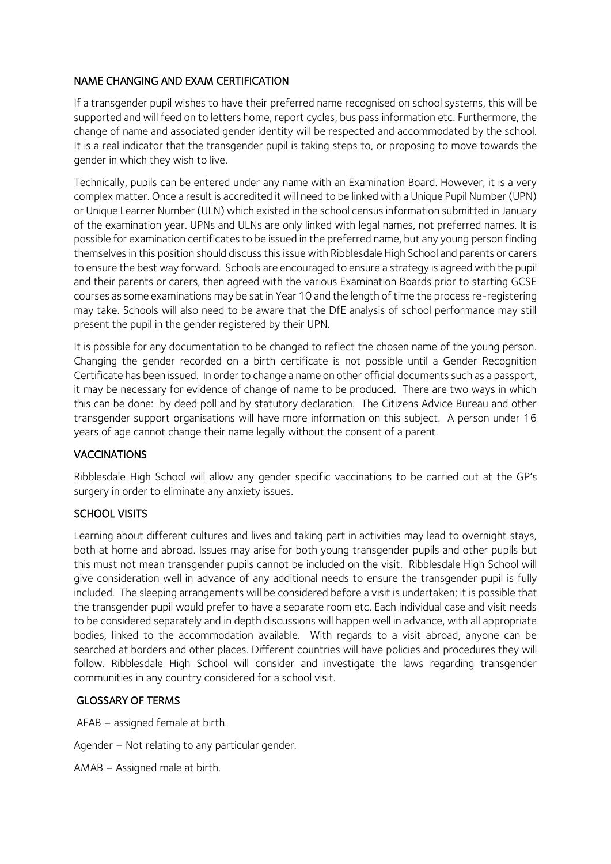## NAME CHANGING AND EXAM CERTIFICATION

If a transgender pupil wishes to have their preferred name recognised on school systems, this will be supported and will feed on to letters home, report cycles, bus pass information etc. Furthermore, the change of name and associated gender identity will be respected and accommodated by the school. It is a real indicator that the transgender pupil is taking steps to, or proposing to move towards the gender in which they wish to live.

Technically, pupils can be entered under any name with an Examination Board. However, it is a very complex matter. Once a result is accredited it will need to be linked with a Unique Pupil Number (UPN) or Unique Learner Number (ULN) which existed in the school census information submitted in January of the examination year. UPNs and ULNs are only linked with legal names, not preferred names. It is possible for examination certificates to be issued in the preferred name, but any young person finding themselves in this position should discuss this issue with Ribblesdale High School and parents or carers to ensure the best way forward. Schools are encouraged to ensure a strategy is agreed with the pupil and their parents or carers, then agreed with the various Examination Boards prior to starting GCSE courses as some examinations may be sat in Year 10 and the length of time the process re-registering may take. Schools will also need to be aware that the DfE analysis of school performance may still present the pupil in the gender registered by their UPN.

It is possible for any documentation to be changed to reflect the chosen name of the young person. Changing the gender recorded on a birth certificate is not possible until a Gender Recognition Certificate has been issued. In order to change a name on other official documents such as a passport, it may be necessary for evidence of change of name to be produced. There are two ways in which this can be done: by deed poll and by statutory declaration. The Citizens Advice Bureau and other transgender support organisations will have more information on this subject. A person under 16 years of age cannot change their name legally without the consent of a parent.

# **VACCINATIONS**

Ribblesdale High School will allow any gender specific vaccinations to be carried out at the GP's surgery in order to eliminate any anxiety issues.

#### SCHOOL VISITS

Learning about different cultures and lives and taking part in activities may lead to overnight stays, both at home and abroad. Issues may arise for both young transgender pupils and other pupils but this must not mean transgender pupils cannot be included on the visit. Ribblesdale High School will give consideration well in advance of any additional needs to ensure the transgender pupil is fully included. The sleeping arrangements will be considered before a visit is undertaken; it is possible that the transgender pupil would prefer to have a separate room etc. Each individual case and visit needs to be considered separately and in depth discussions will happen well in advance, with all appropriate bodies, linked to the accommodation available. With regards to a visit abroad, anyone can be searched at borders and other places. Different countries will have policies and procedures they will follow. Ribblesdale High School will consider and investigate the laws regarding transgender communities in any country considered for a school visit.

#### GLOSSARY OF TERMS

AFAB – assigned female at birth.

Agender – Not relating to any particular gender.

AMAB – Assigned male at birth.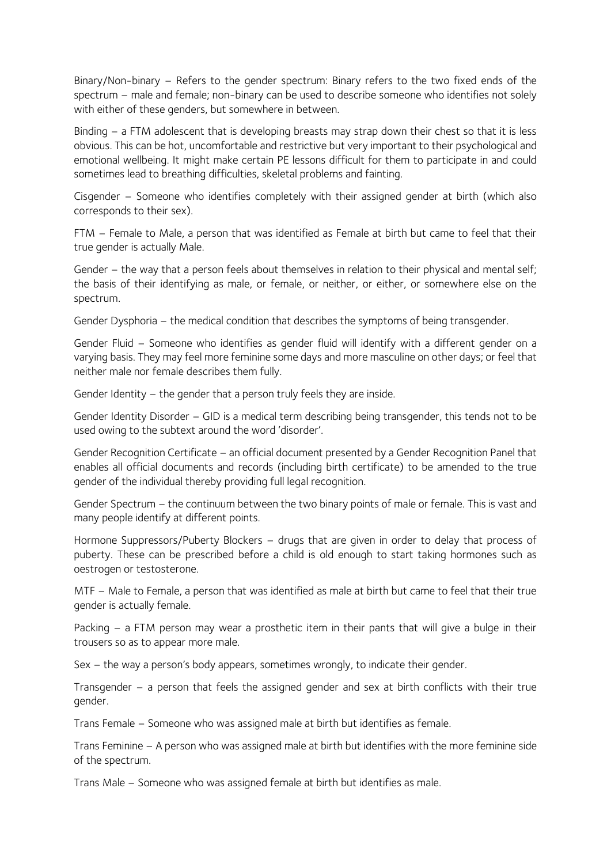Binary/Non-binary – Refers to the gender spectrum: Binary refers to the two fixed ends of the spectrum – male and female; non-binary can be used to describe someone who identifies not solely with either of these genders, but somewhere in between.

Binding – a FTM adolescent that is developing breasts may strap down their chest so that it is less obvious. This can be hot, uncomfortable and restrictive but very important to their psychological and emotional wellbeing. It might make certain PE lessons difficult for them to participate in and could sometimes lead to breathing difficulties, skeletal problems and fainting.

Cisgender – Someone who identifies completely with their assigned gender at birth (which also corresponds to their sex).

FTM – Female to Male, a person that was identified as Female at birth but came to feel that their true gender is actually Male.

Gender – the way that a person feels about themselves in relation to their physical and mental self; the basis of their identifying as male, or female, or neither, or either, or somewhere else on the spectrum.

Gender Dysphoria – the medical condition that describes the symptoms of being transgender.

Gender Fluid – Someone who identifies as gender fluid will identify with a different gender on a varying basis. They may feel more feminine some days and more masculine on other days; or feel that neither male nor female describes them fully.

Gender Identity – the gender that a person truly feels they are inside.

Gender Identity Disorder – GID is a medical term describing being transgender, this tends not to be used owing to the subtext around the word 'disorder'.

Gender Recognition Certificate – an official document presented by a Gender Recognition Panel that enables all official documents and records (including birth certificate) to be amended to the true gender of the individual thereby providing full legal recognition.

Gender Spectrum – the continuum between the two binary points of male or female. This is vast and many people identify at different points.

Hormone Suppressors/Puberty Blockers – drugs that are given in order to delay that process of puberty. These can be prescribed before a child is old enough to start taking hormones such as oestrogen or testosterone.

MTF – Male to Female, a person that was identified as male at birth but came to feel that their true gender is actually female.

Packing – a FTM person may wear a prosthetic item in their pants that will give a bulge in their trousers so as to appear more male.

Sex – the way a person's body appears, sometimes wrongly, to indicate their gender.

Transgender – a person that feels the assigned gender and sex at birth conflicts with their true gender.

Trans Female – Someone who was assigned male at birth but identifies as female.

Trans Feminine – A person who was assigned male at birth but identifies with the more feminine side of the spectrum.

Trans Male – Someone who was assigned female at birth but identifies as male.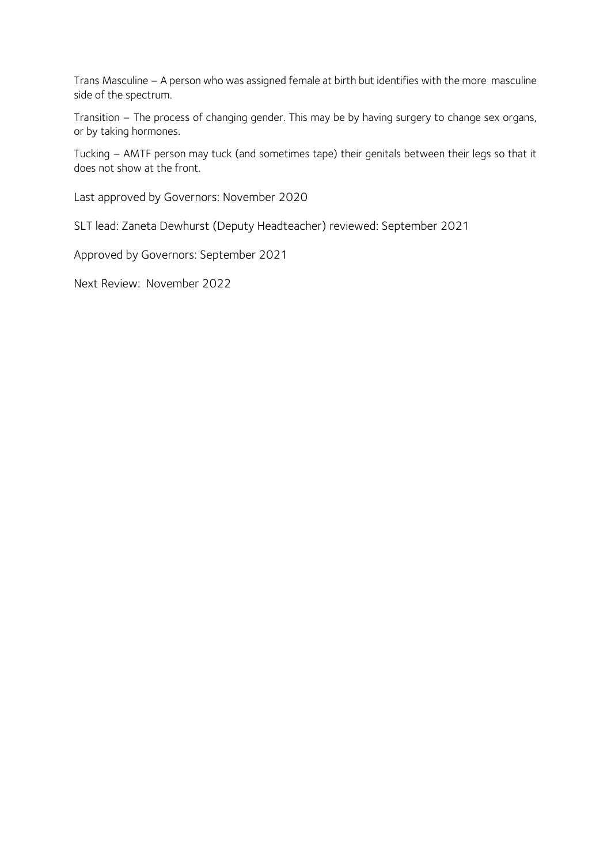Trans Masculine – A person who was assigned female at birth but identifies with the more masculine side of the spectrum.

Transition – The process of changing gender. This may be by having surgery to change sex organs, or by taking hormones.

Tucking – AMTF person may tuck (and sometimes tape) their genitals between their legs so that it does not show at the front.

Last approved by Governors: November 2020

SLT lead: Zaneta Dewhurst (Deputy Headteacher) reviewed: September 2021

Approved by Governors: September 2021

Next Review: November 2022